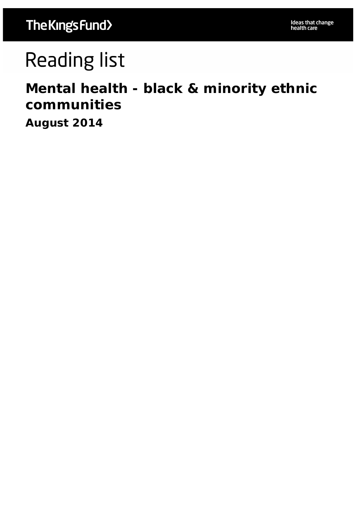# **Reading list**

# **Mental health - black & minority ethnic communities**

**August 2014**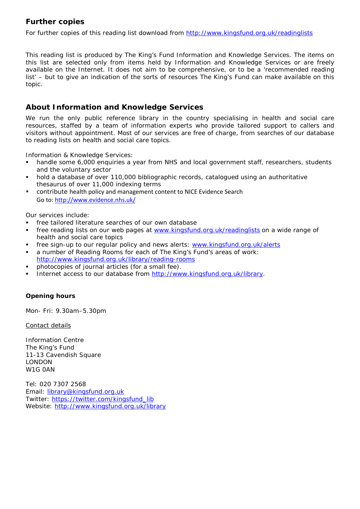# **Further copies**

For further copies of this reading list download from<http://www.kingsfund.org.uk/readinglists>

This reading list is produced by The King's Fund Information and Knowledge Services. The items on this list are selected only from items held by Information and Knowledge Services or are freely available on the Internet. It does not aim to be comprehensive, or to be a 'recommended reading list' – but to give an indication of the sorts of resources The King's Fund can make available on this topic.

# **About Information and Knowledge Services**

We run the only public reference library in the country specialising in health and social care resources, staffed by a team of information experts who provide tailored support to callers and visitors without appointment. Most of our services are free of charge, from searches of our database to reading lists on health and social care topics.

Information & Knowledge Services:

- handle some 6,000 enquiries a year from NHS and local government staff, researchers, students and the voluntary sector
- hold a database of over 110,000 bibliographic records, catalogued using an authoritative thesaurus of over 11,000 indexing terms
- contribute health policy and management content to NICE Evidence Search Go to: <http://www.evidence.nhs.uk/>

Our services include:

- free tailored literature searches of our own database
- **fice reading lists on our web pages at [www.kingsfund.org.uk/readinglists](http://www.kingsfund.org.uk/readinglists) on a wide range of** health and social care topics
- free sign-up to our regular policy and news alerts: [www.kingsfund.org.uk/alerts](http://www.kingsfund.org.uk/alerts)
- a number of Reading Rooms for each of The King's Fund's areas of work: <http://www.kingsfund.org.uk/library/reading-rooms>
- photocopies of journal articles (for a small fee).
- Internet access to our database from [http://www.kingsfund.org.uk/library.](http://www.kingsfund.org.uk/library)

# **Opening hours**

Mon- Fri: 9.30am–5.30pm

Contact details

Information Centre The King's Fund 11-13 Cavendish Square LONDON W1G 0AN

Tel: 020 7307 2568 Email: [library@kingsfund.org.uk](mailto:library@kingsfund.org.uk) Twitter: [https://twitter.com/kingsfund\\_lib](https://twitter.com/kingsfund_lib) Website:<http://www.kingsfund.org.uk/library>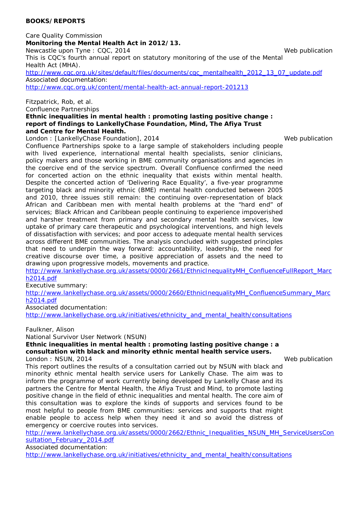# **BOOKS/REPORTS**

Care Quality Commission **Monitoring the Mental Health Act in 2012/13.**  Newcastle upon Tyne : CQC, 2014 *Web publication* This is CQC's fourth annual report on statutory monitoring of the use of the Mental Health Act (MHA). [http://www.cqc.org.uk/sites/default/files/documents/cqc\\_mentalhealth\\_2012\\_13\\_07\\_update.pdf](http://www.cqc.org.uk/sites/default/files/documents/cqc_mentalhealth_2012_13_07_update.pdf) Associated documentation: <http://www.cqc.org.uk/content/mental-health-act-annual-report-201213>

Fitzpatrick, Rob, et al. Confluence Partnerships **Ethnic inequalities in mental health : promoting lasting positive change : report of findings to LankellyChase Foundation, Mind, The Afiya Trust and Centre for Mental Health.**

London : [LankellyChase Foundation], 2014 *Web publication*

Confluence Partnerships spoke to a large sample of stakeholders including people with lived experience, international mental health specialists, senior clinicians, policy makers and those working in BME community organisations and agencies in the coercive end of the service spectrum. Overall Confluence confirmed the need for concerted action on the ethnic inequality that exists within mental health. Despite the concerted action of 'Delivering Race Equality', a five-year programme targeting black and minority ethnic (BME) mental health conducted between 2005 and 2010, three issues still remain: the continuing over-representation of black African and Caribbean men with mental health problems at the "hard end" of services; Black African and Caribbean people continuing to experience impoverished and harsher treatment from primary and secondary mental health services, low uptake of primary care therapeutic and psychological interventions, and high levels of dissatisfaction with services; and poor access to adequate mental health services across different BME communities. The analysis concluded with suggested principles that need to underpin the way forward: accountability, leadership, the need for creative discourse over time, a positive appreciation of assets and the need to drawing upon progressive models, movements and practice.

[http://www.lankellychase.org.uk/assets/0000/2661/EthnicInequalityMH\\_ConfluenceFullReport\\_Marc](http://www.lankellychase.org.uk/assets/0000/2661/EthnicInequalityMH_ConfluenceFullReport_March2014.pdf) [h2014.pdf](http://www.lankellychase.org.uk/assets/0000/2661/EthnicInequalityMH_ConfluenceFullReport_March2014.pdf)

Executive summary:

[http://www.lankellychase.org.uk/assets/0000/2660/EthnicInequalityMH\\_ConfluenceSummary\\_Marc](http://www.lankellychase.org.uk/assets/0000/2660/EthnicInequalityMH_ConfluenceSummary_March2014.pdf) [h2014.pdf](http://www.lankellychase.org.uk/assets/0000/2660/EthnicInequalityMH_ConfluenceSummary_March2014.pdf)

Associated documentation:

[http://www.lankellychase.org.uk/initiatives/ethnicity\\_and\\_mental\\_health/consultations](http://www.lankellychase.org.uk/initiatives/ethnicity_and_mental_health/consultations)

Faulkner, Alison National Survivor User Network (NSUN) **Ethnic inequalities in mental health : promoting lasting positive change : a consultation with black and minority ethnic mental health service users.** London : NSUN, 2014 *Web publication*

This report outlines the results of a consultation carried out by NSUN with black and minority ethnic mental health service users for Lankelly Chase. The aim was to inform the programme of work currently being developed by Lankelly Chase and its partners the Centre for Mental Health, the Afiya Trust and Mind, to promote lasting positive change in the field of ethnic inequalities and mental health. The core aim of this consultation was to explore the kinds of supports and services found to be most helpful to people from BME communities: services and supports that might enable people to access help when they need it and so avoid the distress of emergency or coercive routes into services.

[http://www.lankellychase.org.uk/assets/0000/2662/Ethnic\\_Inequalities\\_NSUN\\_MH\\_ServiceUsersCon](http://www.lankellychase.org.uk/assets/0000/2662/Ethnic_Inequalities_NSUN_MH_ServiceUsersConsultation_February_2014.pdf) [sultation\\_February\\_2014.pdf](http://www.lankellychase.org.uk/assets/0000/2662/Ethnic_Inequalities_NSUN_MH_ServiceUsersConsultation_February_2014.pdf)

Associated documentation:

[http://www.lankellychase.org.uk/initiatives/ethnicity\\_and\\_mental\\_health/consultations](http://www.lankellychase.org.uk/initiatives/ethnicity_and_mental_health/consultations)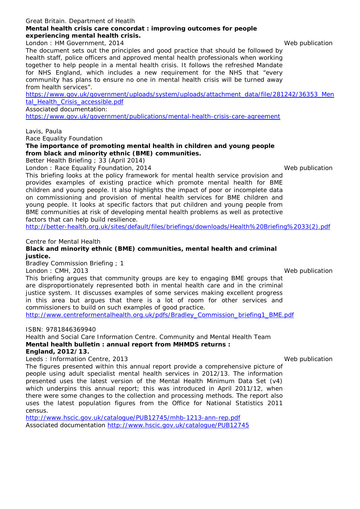# Great Britain. Department of Heatlh **Mental health crisis care concordat : improving outcomes for people experiencing mental health crisis.**

London : HM Government, 2014 *Web publication*

The document sets out the principles and good practice that should be followed by health staff, police officers and approved mental health professionals when working together to help people in a mental health crisis. It follows the refreshed Mandate for NHS England, which includes a new requirement for the NHS that "every community has plans to ensure no one in mental health crisis will be turned away from health services".

[https://www.gov.uk/government/uploads/system/uploads/attachment\\_data/file/281242/36353\\_Men](https://www.gov.uk/government/uploads/system/uploads/attachment_data/file/281242/36353_Mental_Health_Crisis_accessible.pdf) [tal\\_Health\\_Crisis\\_accessible.pdf](https://www.gov.uk/government/uploads/system/uploads/attachment_data/file/281242/36353_Mental_Health_Crisis_accessible.pdf)

Associated documentation:

<https://www.gov.uk/government/publications/mental-health-crisis-care-agreement>

Lavis, Paula

Race Equality Foundation

**The importance of promoting mental health in children and young people from black and minority ethnic (BME) communities.**

Better Health Briefing ; 33 (April 2014)

London : Race Equality Foundation, 2014 *Web publication*

This briefing looks at the policy framework for mental health service provision and provides examples of existing practice which promote mental health for BME children and young people. It also highlights the impact of poor or incomplete data on commissioning and provision of mental health services for BME children and young people. It looks at specific factors that put children and young people from BME communities at risk of developing mental health problems as well as protective factors that can help build resilience.

[http://better-health.org.uk/sites/default/files/briefings/downloads/Health%20Briefing%2033\(2\).pdf](http://better-health.org.uk/sites/default/files/briefings/downloads/Health%20Briefing%2033(2).pdf)

Centre for Mental Health

# **Black and minority ethnic (BME) communities, mental health and criminal justice.**

Bradley Commission Briefing ; 1

London : CMH, 2013 *Web publication*

This briefing argues that community groups are key to engaging BME groups that are disproportionately represented both in mental health care and in the criminal justice system. It discusses examples of some services making excellent progress in this area but argues that there is a lot of room for other services and commissioners to build on such examples of good practice.

[http://www.centreformentalhealth.org.uk/pdfs/Bradley\\_Commission\\_briefing1\\_BME.pdf](http://www.centreformentalhealth.org.uk/pdfs/Bradley_Commission_briefing1_BME.pdf)

ISBN: 9781846369940 Health and Social Care Information Centre. Community and Mental Health Team **Mental health bulletin : annual report from MHMDS returns : England, 2012/13.**

Leeds : Information Centre, 2013 *Web publication*

The figures presented within this annual report provide a comprehensive picture of people using adult specialist mental health services in 2012/13. The information presented uses the latest version of the Mental Health Minimum Data Set (v4) which underpins this annual report; this was introduced in April 2011/12, when there were some changes to the collection and processing methods. The report also uses the latest population figures from the Office for National Statistics 2011 census.

<http://www.hscic.gov.uk/catalogue/PUB12745/mhb-1213-ann-rep.pdf> Associated documentation<http://www.hscic.gov.uk/catalogue/PUB12745>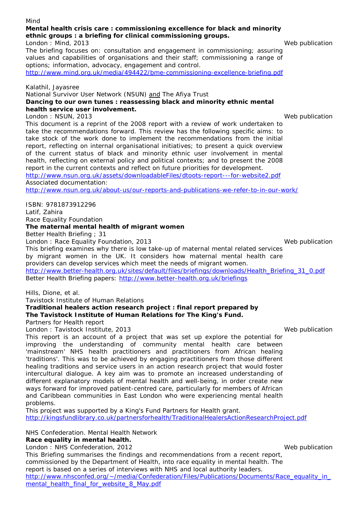# **Mental health crisis care : commissioning excellence for black and minority ethnic groups : a briefing for clinical commissioning groups.**

London : Mind, 2013 *Web publication* The briefing focuses on: consultation and engagement in commissioning; assuring values and capabilities of organisations and their staff; commissioning a range of options; information, advocacy, engagement and control. <http://www.mind.org.uk/media/494422/bme-commissioning-excellence-briefing.pdf>

Kalathil, Jayasree

National Survivor User Network (NSUN) and The Afiya Trust

# **Dancing to our own tunes : reassessing black and minority ethnic mental health service user involvement.**

London : NSUN, 2013 *Web publication*

This document is a reprint of the 2008 report with a review of work undertaken to take the recommendations forward. This review has the following specific aims: to take stock of the work done to implement the recommendations from the initial report, reflecting on internal organisational initiatives; to present a quick overview of the current status of black and minority ethnic user involvement in mental health, reflecting on external policy and political contexts; and to present the 2008 report in the current contexts and reflect on future priorities for development. <http://www.nsun.org.uk/assets/downloadableFiles/dtoots-report---for-website2.pdf> Associated documentation: <http://www.nsun.org.uk/about-us/our-reports-and-publications-we-refer-to-in-our-work/>

ISBN: 9781873912296 Latif, Zahira Race Equality Foundation **The maternal mental health of migrant women** Better Health Briefing ; 31 London : Race Equality Foundation, 2013 *Web publication*

This briefing examines why there is low take-up of maternal mental related services by migrant women in the UK. It considers how maternal mental health care providers can develop services which meet the needs of migrant women. [http://www.better-health.org.uk/sites/default/files/briefings/downloads/Health\\_Briefing\\_31\\_0.pdf](http://www.better-health.org.uk/sites/default/files/briefings/downloads/Health_Briefing_31_0.pdf) Better Health Briefing papers: <http://www.better-health.org.uk/briefings>

Hills, Dione, et al.

Tavistock Institute of Human Relations

**Traditional healers action research project : final report prepared by The Tavistock Institute of Human Relations for The King's Fund.**

Partners for Health report

London : Tavistock Institute, 2013 *Web publication*

This report is an account of a project that was set up explore the potential for improving the understanding of community mental health care between 'mainstream' NHS health practitioners and practitioners from African healing 'traditions'. This was to be achieved by engaging practitioners from those different healing traditions and service users in an action research project that would foster intercultural dialogue. A key aim was to promote an increased understanding of different explanatory models of mental health and well-being, in order create new ways forward for improved patient-centred care, particularly for members of African and Caribbean communities in East London who were experiencing mental health problems.

This project was supported by a King's Fund Partners for Health grant. <http://kingsfundlibrary.co.uk/partnersforhealth/TraditionalHealersActionResearchProject.pdf>

NHS Confederation. Mental Health Network

# **Race equality in mental health.**

London : NHS Confederation, 2012 *Web publication*

This Briefing summarises the findings and recommendations from a recent report, commissioned by the Department of Health, into race equality in mental health. The report is based on a series of interviews with NHS and local authority leaders. [http://www.nhsconfed.org/~/media/Confederation/Files/Publications/Documents/Race\\_equality\\_in\\_](http://www.nhsconfed.org/%7E/media/Confederation/Files/Publications/Documents/Race_equality_in_mental_health_final_for_website_8_May.pdf) [mental\\_health\\_final\\_for\\_website\\_8\\_May.pdf](http://www.nhsconfed.org/%7E/media/Confederation/Files/Publications/Documents/Race_equality_in_mental_health_final_for_website_8_May.pdf)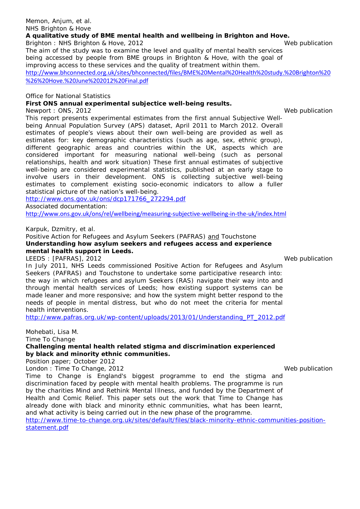# Memon, Anjum, et al. NHS Brighton & Hove **A qualitative study of BME mental health and wellbeing in Brighton and Hove.** Brighton : NHS Brighton & Hove, 2012 *Web publication*

The aim of the study was to examine the level and quality of mental health services being accessed by people from BME groups in Brighton & Hove, with the goal of improving access to these services and the quality of treatment within them. [http://www.bhconnected.org.uk/sites/bhconnected/files/BME%20Mental%20Health%20study.%20Brighton%20](http://www.bhconnected.org.uk/sites/bhconnected/files/BME%20Mental%20Health%20study.%20Brighton%20%26%20Hove.%20June%202012%20Final.pdf) [%26%20Hove.%20June%202012%20Final.pdf](http://www.bhconnected.org.uk/sites/bhconnected/files/BME%20Mental%20Health%20study.%20Brighton%20%26%20Hove.%20June%202012%20Final.pdf)

Office for National Statistics

# **First ONS annual experimental subjectice well-being results.**

Newport : ONS, 2012 *Web publication*

This report presents experimental estimates from the first annual Subjective Wellbeing Annual Population Survey (APS) dataset, April 2011 to March 2012. Overall estimates of people's views about their own well-being are provided as well as estimates for: key demographic characteristics (such as age, sex, ethnic group), different geographic areas and countries within the UK, aspects which are considered important for measuring national well-being (such as personal relationships, health and work situation) These first annual estimates of subjective well-being are considered experimental statistics, published at an early stage to involve users in their development. ONS is collecting subjective well-being estimates to complement existing socio-economic indicators to allow a fuller statistical picture of the nation's well-being.

[http://www.ons.gov.uk/ons/dcp171766\\_272294.pdf](http://www.ons.gov.uk/ons/dcp171766_272294.pdf)

Associated documentation:

<http://www.ons.gov.uk/ons/rel/wellbeing/measuring-subjective-wellbeing-in-the-uk/index.html>

Karpuk, Dzmitry, et al.

Positive Action for Refugees and Asylum Seekers (PAFRAS) and Touchstone **Understanding how asylum seekers and refugees access and experience mental health support in Leeds.**

LEEDS : [PAFRAS], 2012 *Web publication*

In July 2011, NHS Leeds commissioned Positive Action for Refugees and Asylum Seekers (PAFRAS) and Touchstone to undertake some participative research into: the way in which refugees and asylum Seekers (RAS) navigate their way into and through mental health services of Leeds; how existing support systems can be made leaner and more responsive; and how the system might better respond to the needs of people in mental distress, but who do not meet the criteria for mental health interventions.

[http://www.pafras.org.uk/wp-content/uploads/2013/01/Understanding\\_PT\\_2012.pdf](http://www.pafras.org.uk/wp-content/uploads/2013/01/Understanding_PT_2012.pdf)

Mohebati, Lisa M. Time To Change **Challenging mental health related stigma and discrimination experienced by black and minority ethnic communities.**

Position paper; October 2012

London : Time To Change, 2012 *Web publication*

Time to Change is England's biggest programme to end the stigma and discrimination faced by people with mental health problems. The programme is run by the charities Mind and Rethink Mental Illness, and funded by the Department of Health and Comic Relief. This paper sets out the work that Time to Change has already done with black and minority ethnic communities, what has been learnt, and what activity is being carried out in the new phase of the programme. [http://www.time-to-change.org.uk/sites/default/files/black-minority-ethnic-communities-position-](http://www.time-to-change.org.uk/sites/default/files/black-minority-ethnic-communities-position-statement.pdf)

[statement.pdf](http://www.time-to-change.org.uk/sites/default/files/black-minority-ethnic-communities-position-statement.pdf)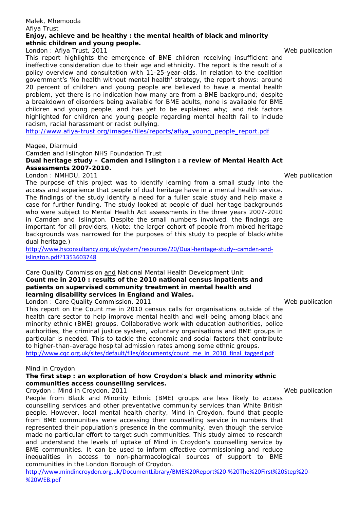### Malek, Mhemooda Afiya Trust **Enjoy, achieve and be healthy : the mental health of black and minority ethnic children and young people.**

London : Afiya Trust, 2011 *Web publication*

This report highlights the emergence of BME children receiving insufficient and ineffective consideration due to their age and ethnicity. The report is the result of a policy overview and consultation with 11-25-year-olds. In relation to the coalition government's 'No health without mental health' strategy, the report shows: around 20 percent of children and young people are believed to have a mental health problem, yet there is no indication how many are from a BME background; despite a breakdown of disorders being available for BME adults, none is available for BME children and young people, and has yet to be explained why; and risk factors highlighted for children and young people regarding mental health fail to include racism, racial harassment or racist bullying.

[http://www.afiya-trust.org/images/files/reports/afiya\\_young\\_people\\_report.pdf](http://www.afiya-trust.org/images/files/reports/afiya_young_people_report.pdf)

Magee, Diarmuid

Camden and Islington NHS Foundation Trust **Dual heritage study – Camden and Islington : a review of Mental Health Act Assessments 2007-2010.**

London : NMHDU, 2011 *Web publication*

The purpose of this project was to identify learning from a small study into the access and experience that people of dual heritage have in a mental health service. The findings of the study identify a need for a fuller scale study and help make a case for further funding. The study looked at people of dual heritage backgrounds who were subject to Mental Health Act assessments in the three years 2007-2010 in Camden and Islington. Despite the small numbers involved, the findings are important for all providers, (Note: the larger cohort of people from mixed heritage backgrounds was narrowed for the purposes of this study to people of black/white dual heritage.)

[http://www.hsconsultancy.org.uk/system/resources/20/Dual-heritage-study--camden-and](http://www.hsconsultancy.org.uk/system/resources/20/Dual-heritage-study--camden-and-islington.pdf?1353603748)[islington.pdf?1353603748](http://www.hsconsultancy.org.uk/system/resources/20/Dual-heritage-study--camden-and-islington.pdf?1353603748)

# Care Quality Commission and National Mental Health Development Unit **Count me in 2010 : results of the 2010 national census inpatients and patients on supervised community treatment in mental health and learning disability services in England and Wales.**

London : Care Quality Commission, 2011 *Web publication*

This report on the Count me in 2010 census calls for organisations outside of the health care sector to help improve mental health and well-being among black and minority ethnic (BME) groups. Collaborative work with education authorities, police authorities, the criminal justice system, voluntary organisations and BME groups in particular is needed. This to tackle the economic and social factors that contribute to higher-than-average hospital admission rates among some ethnic groups. [http://www.cqc.org.uk/sites/default/files/documents/count\\_me\\_in\\_2010\\_final\\_tagged.pdf](http://www.cqc.org.uk/sites/default/files/documents/count_me_in_2010_final_tagged.pdf)

# Mind in Croydon

# **The first step : an exploration of how Croydon's black and minority ethnic communities access counselling services.**

Croydon : Mind in Croydon, 2011 *Web publication*

People from Black and Minority Ethnic (BME) groups are less likely to access counselling services and other preventative community services than White British people. However, local mental health charity, Mind in Croydon, found that people from BME communities were accessing their counselling service in numbers that represented their population's presence in the community, even though the service made no particular effort to target such communities. This study aimed to research and understand the levels of uptake of Mind in Croydon's counselling service by BME communities. It can be used to inform effective commissioning and reduce inequalities in access to non-pharmacological sources of support to BME communities in the London Borough of Croydon.

[http://www.mindincroydon.org.uk/DocumentLibrary/BME%20Report%20-%20The%20First%20Step%20-](http://www.mindincroydon.org.uk/DocumentLibrary/BME%20Report%20-%20The%20First%20Step%20-%20WEB.pdf) [%20WEB.pdf](http://www.mindincroydon.org.uk/DocumentLibrary/BME%20Report%20-%20The%20First%20Step%20-%20WEB.pdf)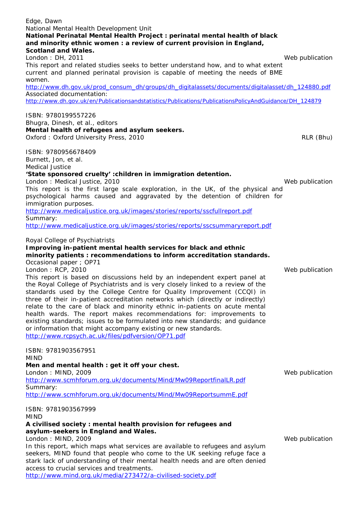| Edge, Dawn<br>National Mental Health Development Unit<br>National Perinatal Mental Health Project : perinatal mental health of black<br>and minority ethnic women : a review of current provision in England,<br><b>Scotland and Wales.</b><br>London: DH, 2011<br>This report and related studies seeks to better understand how, and to what extent<br>current and planned perinatal provision is capable of meeting the needs of BME<br>women.<br>http://www.dh.gov.uk/prod_consum_dh/groups/dh_digitalassets/documents/digitalasset/dh_124880.pdf<br>Associated documentation:<br>http://www.dh.gov.uk/en/Publicationsandstatistics/Publications/PublicationsPolicyAndGuidance/DH_124879                                                                                                                                                                                                                              | Web publication |
|---------------------------------------------------------------------------------------------------------------------------------------------------------------------------------------------------------------------------------------------------------------------------------------------------------------------------------------------------------------------------------------------------------------------------------------------------------------------------------------------------------------------------------------------------------------------------------------------------------------------------------------------------------------------------------------------------------------------------------------------------------------------------------------------------------------------------------------------------------------------------------------------------------------------------|-----------------|
| ISBN: 9780199557226                                                                                                                                                                                                                                                                                                                                                                                                                                                                                                                                                                                                                                                                                                                                                                                                                                                                                                       |                 |
| Bhugra, Dinesh, et al., editors<br>Mental health of refugees and asylum seekers.                                                                                                                                                                                                                                                                                                                                                                                                                                                                                                                                                                                                                                                                                                                                                                                                                                          |                 |
| Oxford: Oxford University Press, 2010                                                                                                                                                                                                                                                                                                                                                                                                                                                                                                                                                                                                                                                                                                                                                                                                                                                                                     | RLR (Bhu)       |
| ISBN: 9780956678409<br>Burnett, Jon, et al.<br><b>Medical Justice</b>                                                                                                                                                                                                                                                                                                                                                                                                                                                                                                                                                                                                                                                                                                                                                                                                                                                     |                 |
| 'State sponsored cruelty' :children in immigration detention.<br>London: Medical Justice, 2010                                                                                                                                                                                                                                                                                                                                                                                                                                                                                                                                                                                                                                                                                                                                                                                                                            | Web publication |
| This report is the first large scale exploration, in the UK, of the physical and<br>psychological harms caused and aggravated by the detention of children for<br>immigration purposes.                                                                                                                                                                                                                                                                                                                                                                                                                                                                                                                                                                                                                                                                                                                                   |                 |
| http://www.medicaljustice.org.uk/images/stories/reports/sscfullreport.pdf                                                                                                                                                                                                                                                                                                                                                                                                                                                                                                                                                                                                                                                                                                                                                                                                                                                 |                 |
| Summary:<br>http://www.medicaljustice.org.uk/images/stories/reports/sscsummaryreport.pdf                                                                                                                                                                                                                                                                                                                                                                                                                                                                                                                                                                                                                                                                                                                                                                                                                                  |                 |
| Royal College of Psychiatrists<br>Improving in-patient mental health services for black and ethnic<br>minority patients : recommendations to inform accreditation standards.<br>Occasional paper ; OP71<br>London: RCP, 2010<br>This report is based on discussions held by an independent expert panel at<br>the Royal College of Psychiatrists and is very closely linked to a review of the<br>standards used by the College Centre for Quality Improvement (CCQI) in<br>three of their in-patient accreditation networks which (directly or indirectly)<br>relate to the care of black and minority ethnic in-patients on acute mental<br>health wards. The report makes recommendations for: improvements to<br>existing standards; issues to be formulated into new standards; and guidance<br>or information that might accompany existing or new standards.<br>http://www.rcpsych.ac.uk/files/pdfversion/OP71.pdf | Web publication |
| ISBN: 9781903567951<br><b>MIND</b>                                                                                                                                                                                                                                                                                                                                                                                                                                                                                                                                                                                                                                                                                                                                                                                                                                                                                        |                 |
| Men and mental health : get it off your chest.<br>London: MIND, 2009<br>http://www.scmhforum.org.uk/documents/Mind/Mw09ReportfinalLR.pdf                                                                                                                                                                                                                                                                                                                                                                                                                                                                                                                                                                                                                                                                                                                                                                                  | Web publication |
| Summary:<br>http://www.scmhforum.org.uk/documents/Mind/Mw09ReportsummE.pdf                                                                                                                                                                                                                                                                                                                                                                                                                                                                                                                                                                                                                                                                                                                                                                                                                                                |                 |
| ISBN: 9781903567999<br><b>MIND</b>                                                                                                                                                                                                                                                                                                                                                                                                                                                                                                                                                                                                                                                                                                                                                                                                                                                                                        |                 |
| A civilised society : mental health provision for refugees and<br>asylum-seekers in England and Wales.                                                                                                                                                                                                                                                                                                                                                                                                                                                                                                                                                                                                                                                                                                                                                                                                                    |                 |
| London: MIND, 2009<br>In this report, which maps what services are available to refugees and asylum<br>seekers, MIND found that people who come to the UK seeking refuge face a<br>stark lack of understanding of their mental health needs and are often denied<br>access to crucial services and treatments.<br>http://www.mind.org.uk/media/273472/a-civilised-society.pdf                                                                                                                                                                                                                                                                                                                                                                                                                                                                                                                                             | Web publication |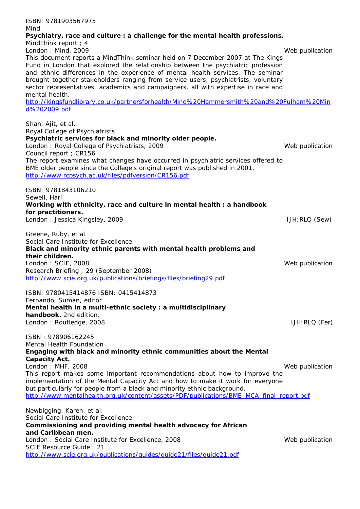| ISBN: 9781903567975<br>Mind<br>Psychiatry, race and culture : a challenge for the mental health professions.                                                                                                                                                                                                                                                                                                                                                                                                                                                                        |                 |
|-------------------------------------------------------------------------------------------------------------------------------------------------------------------------------------------------------------------------------------------------------------------------------------------------------------------------------------------------------------------------------------------------------------------------------------------------------------------------------------------------------------------------------------------------------------------------------------|-----------------|
| MindThink report ; 4                                                                                                                                                                                                                                                                                                                                                                                                                                                                                                                                                                |                 |
| London: Mind, 2009<br>This document reports a MindThink seminar held on 7 December 2007 at The Kings<br>Fund in London that explored the relationship between the psychiatric profession<br>and ethnic differences in the experience of mental health services. The seminar<br>brought together stakeholders ranging from service users, psychiatrists, voluntary<br>sector representatives, academics and campaigners, all with expertise in race and<br>mental health.<br>http://kingsfundlibrary.co.uk/partnersforhealth/Mind%20Hammersmith%20and%20Fulham%20Min<br>d%202009.pdf | Web publication |
| Shah, Ajit, et al.<br>Royal College of Psychiatrists<br>Psychiatric services for black and minority older people.<br>London: Royal College of Psychiatrists, 2009<br>Council report ; CR156<br>The report examines what changes have occurred in psychiatric services offered to<br>BME older people since the College's original report was published in 2001.<br>http://www.rcpsych.ac.uk/files/pdfversion/CR156.pdf                                                                                                                                                              | Web publication |
| ISBN: 9781843106210                                                                                                                                                                                                                                                                                                                                                                                                                                                                                                                                                                 |                 |
| Sewell, Hári<br>Working with ethnicity, race and culture in mental health : a handbook<br>for practitioners.<br>London: Jessica Kingsley, 2009                                                                                                                                                                                                                                                                                                                                                                                                                                      | IJH: RLQ (Sew)  |
| Greene, Ruby, et al<br>Social Care Institute for Excellence<br>Black and minority ethnic parents with mental health problems and<br>their children.                                                                                                                                                                                                                                                                                                                                                                                                                                 |                 |
| London: SCIE, 2008<br>Research Briefing ; 29 (September 2008)<br>http://www.scie.org.uk/publications/briefings/files/briefing29.pdf                                                                                                                                                                                                                                                                                                                                                                                                                                                 | Web publication |
| ISBN: 9780415414876 ISBN: 0415414873<br>Fernando, Suman, editor<br>Mental health in a multi-ethnic society : a multidisciplinary                                                                                                                                                                                                                                                                                                                                                                                                                                                    |                 |
| handbook. 2nd edition.<br>London: Routledge, 2008                                                                                                                                                                                                                                                                                                                                                                                                                                                                                                                                   | IJH: RLQ (Fer)  |
| ISBN: 978906162245<br>Mental Health Foundation<br>Engaging with black and minority ethnic communities about the Mental<br>Capacity Act.                                                                                                                                                                                                                                                                                                                                                                                                                                             |                 |
| London: MHF, 2008<br>This report makes some important recommendations about how to improve the<br>implementation of the Mental Capacity Act and how to make it work for everyone                                                                                                                                                                                                                                                                                                                                                                                                    | Web publication |
| but particularly for people from a black and minority ethnic background.<br>http://www.mentalhealth.org.uk/content/assets/PDF/publications/BME_MCA_final_report.pdf                                                                                                                                                                                                                                                                                                                                                                                                                 |                 |
| Newbigging, Karen, et al.<br>Social Care Institute for Excellence<br>Commissioning and providing mental health advocacy for African<br>and Caribbean men.                                                                                                                                                                                                                                                                                                                                                                                                                           |                 |
| London: Social Care Institute for Excellence, 2008<br>SCIE Resource Guide ; 21                                                                                                                                                                                                                                                                                                                                                                                                                                                                                                      | Web publication |
| http://www.scie.org.uk/publications/quides/quide21/files/quide21.pdf                                                                                                                                                                                                                                                                                                                                                                                                                                                                                                                |                 |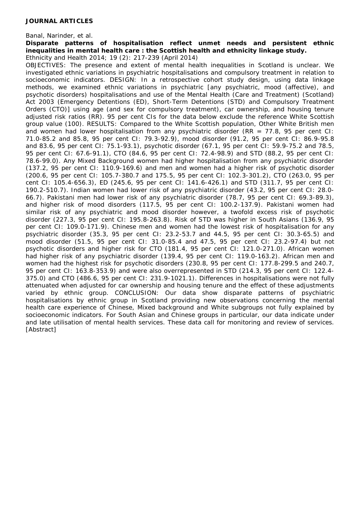Banal, Narinder, et al.

#### **Disparate patterns of hospitalisation reflect unmet needs and persistent ethnic inequalities in mental health care : the Scottish health and ethnicity linkage study.** *Ethnicity and Health 2014; 19 (2): 217-239 (April 2014)*

OBJECTIVES: The presence and extent of mental health inequalities in Scotland is unclear. We investigated ethnic variations in psychiatric hospitalisations and compulsory treatment in relation to socioeconomic indicators. DESIGN: In a retrospective cohort study design, using data linkage methods, we examined ethnic variations in psychiatric [any psychiatric, mood (affective), and psychotic disorders) hospitalisations and use of the Mental Health (Care and Treatment) (Scotland) Act 2003 (Emergency Detentions (ED), Short-Term Detentions (STD) and Compulsory Treatment Orders (CTO)] using age (and sex for compulsory treatment), car ownership, and housing tenure adjusted risk ratios (RR). 95 per cent CIs for the data below exclude the reference White Scottish group value (100). RESULTS: Compared to the White Scottish population, Other White British men and women had lower hospitalisation from any psychiatric disorder (RR =  $77.8$ , 95 per cent CI: 71.0-85.2 and 85.8, 95 per cent CI: 79.3-92.9), mood disorder (91.2, 95 per cent CI: 86.9-95.8 and 83.6, 95 per cent CI: 75.1-93.1), psychotic disorder (67.1, 95 per cent CI: 59.9-75.2 and 78.5, 95 per cent CI: 67.6-91.1), CTO (84.6, 95 per cent CI: 72.4-98.9) and STD (88.2, 95 per cent CI: 78.6-99.0). Any Mixed Background women had higher hospitalisation from any psychiatric disorder (137.2, 95 per cent CI: 110.9-169.6) and men and women had a higher risk of psychotic disorder (200.6, 95 per cent CI: 105.7-380.7 and 175.5, 95 per cent CI: 102.3-301.2), CTO (263.0, 95 per cent CI: 105.4-656.3), ED (245.6, 95 per cent CI: 141.6-426.1) and STD (311.7, 95 per cent CI: 190.2-510.7). Indian women had lower risk of any psychiatric disorder (43.2, 95 per cent CI: 28.0- 66.7). Pakistani men had lower risk of any psychiatric disorder (78.7, 95 per cent CI: 69.3-89.3), and higher risk of mood disorders (117.5, 95 per cent CI: 100.2-137.9). Pakistani women had similar risk of any psychiatric and mood disorder however, a twofold excess risk of psychotic disorder (227.3, 95 per cent CI: 195.8-263.8). Risk of STD was higher in South Asians (136.9, 95 per cent CI: 109.0-171.9). Chinese men and women had the lowest risk of hospitalisation for any psychiatric disorder (35.3, 95 per cent CI: 23.2-53.7 and 44.5, 95 per cent CI: 30.3-65.5) and mood disorder (51.5, 95 per cent CI: 31.0-85.4 and 47.5, 95 per cent CI: 23.2-97.4) but not psychotic disorders and higher risk for CTO (181.4, 95 per cent CI: 121.0-271.0). African women had higher risk of any psychiatric disorder (139.4, 95 per cent CI: 119.0-163.2). African men and women had the highest risk for psychotic disorders (230.8, 95 per cent CI: 177.8-299.5 and 240.7, 95 per cent CI: 163.8-353.9) and were also overrepresented in STD (214.3, 95 per cent CI: 122.4- 375.0) and CTO (486.6, 95 per cent CI: 231.9-1021.1). Differences in hospitalisations were not fully attenuated when adjusted for car ownership and housing tenure and the effect of these adjustments varied by ethnic group. CONCLUSION: Our data show disparate patterns of psychiatric hospitalisations by ethnic group in Scotland providing new observations concerning the mental health care experience of Chinese, Mixed background and White subgroups not fully explained by socioeconomic indicators. For South Asian and Chinese groups in particular, our data indicate under and late utilisation of mental health services. These data call for monitoring and review of services. [Abstract]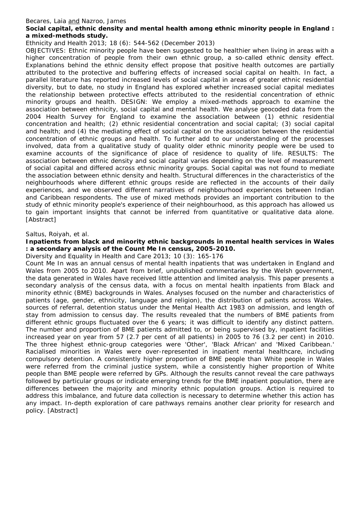#### Becares, Laia and Nazroo, James

# **Social capital, ethnic density and mental health among ethnic minority people in England : a mixed-methods study.**

# *Ethnicity and Health 2013; 18 (6): 544-562 (December 2013)*

OBJECTIVES: Ethnic minority people have been suggested to be healthier when living in areas with a higher concentration of people from their own ethnic group, a so-called ethnic density effect. Explanations behind the ethnic density effect propose that positive health outcomes are partially attributed to the protective and buffering effects of increased social capital on health. In fact, a parallel literature has reported increased levels of social capital in areas of greater ethnic residential diversity, but to date, no study in England has explored whether increased social capital mediates the relationship between protective effects attributed to the residential concentration of ethnic minority groups and health. DESIGN: We employ a mixed-methods approach to examine the association between ethnicity, social capital and mental health. We analyse geocoded data from the 2004 Health Survey for England to examine the association between (1) ethnic residential concentration and health; (2) ethnic residential concentration and social capital; (3) social capital and health; and (4) the mediating effect of social capital on the association between the residential concentration of ethnic groups and health. To further add to our understanding of the processes involved, data from a qualitative study of quality older ethnic minority people were be used to examine accounts of the significance of place of residence to quality of life. RESULTS: The association between ethnic density and social capital varies depending on the level of measurement of social capital and differed across ethnic minority groups. Social capital was not found to mediate the association between ethnic density and health. Structural differences in the characteristics of the neighbourhoods where different ethnic groups reside are reflected in the accounts of their daily experiences, and we observed different narratives of neighbourhood experiences between Indian and Caribbean respondents. The use of mixed methods provides an important contribution to the study of ethnic minority people's experience of their neighbourhood, as this approach has allowed us to gain important insights that cannot be inferred from quantitative or qualitative data alone. [Abstract]

#### Saltus, Roiyah, et al.

# **Inpatients from black and minority ethnic backgrounds in mental health services in Wales : a secondary analysis of the Count Me In census, 2005-2010.**

# *Diversity and Equality in Health and Care 2013; 10 (3): 165-176*

Count Me In was an annual census of mental health inpatients that was undertaken in England and Wales from 2005 to 2010. Apart from brief, unpublished commentaries by the Welsh government, the data generated in Wales have received little attention and limited analysis. This paper presents a secondary analysis of the census data, with a focus on mental health inpatients from Black and minority ethnic (BME) backgrounds in Wales. Analyses focused on the number and characteristics of patients (age, gender, ethnicity, language and religion), the distribution of patients across Wales, sources of referral, detention status under the Mental Health Act 1983 on admission, and length of stay from admission to census day. The results revealed that the numbers of BME patients from different ethnic groups fluctuated over the 6 years; it was difficult to identify any distinct pattern. The number and proportion of BME patients admitted to, or being supervised by, inpatient facilities increased year on year from 57 (2.7 per cent of all patients) in 2005 to 76 (3.2 per cent) in 2010. The three highest ethnic-group categories were 'Other', 'Black African' and 'Mixed Caribbean.' Racialised minorities in Wales were over-represented in inpatient mental healthcare, including compulsory detention. A consistently higher proportion of BME people than White people in Wales were referred from the criminal justice system, while a consistently higher proportion of White people than BME people were referred by GPs. Although the results cannot reveal the care pathways followed by particular groups or indicate emerging trends for the BME inpatient population, there are differences between the majority and minority ethnic population groups. Action is required to address this imbalance, and future data collection is necessary to determine whether this action has any impact. In-depth exploration of care pathways remains another clear priority for research and policy. [Abstract]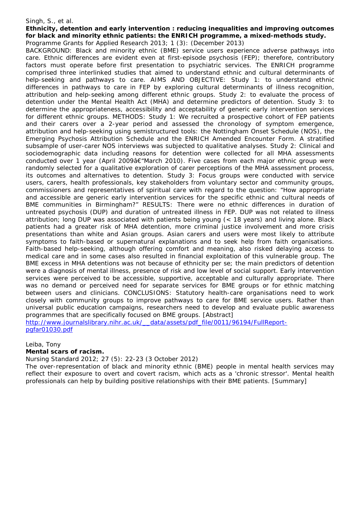#### Singh, S., et al.

#### **Ethnicity, detention and early intervention : reducing inequalities and improving outcomes for black and minority ethnic patients: the ENRICH programme, a mixed-methods study.** *Programme Grants for Applied Research 2013; 1 (3): (December 2013)*

BACKGROUND: Black and minority ethnic (BME) service users experience adverse pathways into care. Ethnic differences are evident even at first-episode psychosis (FEP); therefore, contributory factors must operate before first presentation to psychiatric services. The ENRICH programme comprised three interlinked studies that aimed to understand ethnic and cultural determinants of help-seeking and pathways to care. AIMS AND OBJECTIVE: Study 1: to understand ethnic differences in pathways to care in FEP by exploring cultural determinants of illness recognition, attribution and help-seeking among different ethnic groups. Study 2: to evaluate the process of detention under the Mental Health Act (MHA) and determine predictors of detention. Study 3: to determine the appropriateness, accessibility and acceptability of generic early intervention services for different ethnic groups. METHODS: Study 1: We recruited a prospective cohort of FEP patients and their carers over a 2-year period and assessed the chronology of symptom emergence, attribution and help-seeking using semistructured tools: the Nottingham Onset Schedule (NOS), the Emerging Psychosis Attribution Schedule and the ENRICH Amended Encounter Form. A stratified subsample of user-carer NOS interviews was subjected to qualitative analyses. Study 2: Clinical and sociodemographic data including reasons for detention were collected for all MHA assessments conducted over 1 year (April 2009â€"March 2010). Five cases from each major ethnic group were randomly selected for a qualitative exploration of carer perceptions of the MHA assessment process, its outcomes and alternatives to detention. Study 3: Focus groups were conducted with service users, carers, health professionals, key stakeholders from voluntary sector and community groups, commissioners and representatives of spiritual care with regard to the question: "How appropriate and accessible are generic early intervention services for the specific ethnic and cultural needs of BME communities in Birmingham?" RESULTS: There were no ethnic differences in duration of untreated psychosis (DUP) and duration of untreated illness in FEP. DUP was not related to illness attribution; long DUP was associated with patients being young (< 18 years) and living alone. Black patients had a greater risk of MHA detention, more criminal justice involvement and more crisis presentations than white and Asian groups. Asian carers and users were most likely to attribute symptoms to faith-based or supernatural explanations and to seek help from faith organisations. Faith-based help-seeking, although offering comfort and meaning, also risked delaying access to medical care and in some cases also resulted in financial exploitation of this vulnerable group. The BME excess in MHA detentions was not because of ethnicity per se; the main predictors of detention were a diagnosis of mental illness, presence of risk and low level of social support. Early intervention services were perceived to be accessible, supportive, acceptable and culturally appropriate. There was no demand or perceived need for separate services for BME groups or for ethnic matching between users and clinicians. CONCLUSIONS: Statutory health-care organisations need to work closely with community groups to improve pathways to care for BME service users. Rather than universal public education campaigns, researchers need to develop and evaluate public awareness programmes that are specifically focused on BME groups. [Abstract]

[http://www.journalslibrary.nihr.ac.uk/\\_\\_data/assets/pdf\\_file/0011/96194/FullReport](http://www.journalslibrary.nihr.ac.uk/__data/assets/pdf_file/0011/96194/FullReport-pgfar01030.pdf)[pgfar01030.pdf](http://www.journalslibrary.nihr.ac.uk/__data/assets/pdf_file/0011/96194/FullReport-pgfar01030.pdf)

#### Leiba, Tony

#### **Mental scars of racism.**

*Nursing Standard 2012; 27 (5): 22-23 (3 October 2012)*

The over-representation of black and minority ethnic (BME) people in mental health services may reflect their exposure to overt and covert racism, which acts as a 'chronic stressor'. Mental health professionals can help by building positive relationships with their BME patients. [Summary]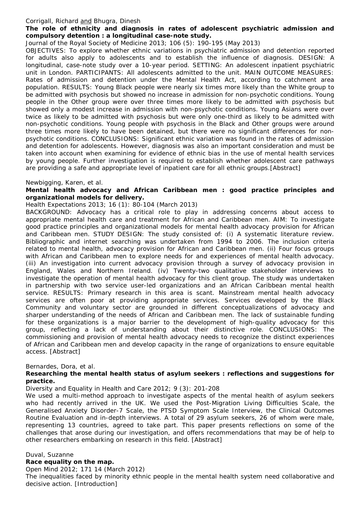# Corrigall, Richard and Bhugra, Dinesh

# **The role of ethnicity and diagnosis in rates of adolescent psychiatric admission and compulsory detention : a longitudinal case-note study.**

*Journal of the Royal Society of Medicine 2013; 106 (5): 190-195 (May 2013)*

OBJECTIVES: To explore whether ethnic variations in psychiatric admission and detention reported for adults also apply to adolescents and to establish the influence of diagnosis. DESIGN: A longitudinal, case-note study over a 10-year period. SETTING: An adolescent inpatient psychiatric unit in London. PARTICIPANTS: All adolescents admitted to the unit. MAIN OUTCOME MEASURES: Rates of admission and detention under the Mental Health Act, according to catchment area population. RESULTS: Young Black people were nearly six times more likely than the White group to be admitted with psychosis but showed no increase in admission for non-psychotic conditions. Young people in the Other group were over three times more likely to be admitted with psychosis but showed only a modest increase in admission with non-psychotic conditions. Young Asians were over twice as likely to be admitted with psychosis but were only one-third as likely to be admitted with non-psychotic conditions. Young people with psychosis in the Black and Other groups were around three times more likely to have been detained, but there were no significant differences for nonpsychotic conditions. CONCLUSIONS: Significant ethnic variation was found in the rates of admission and detention for adolescents. However, diagnosis was also an important consideration and must be taken into account when examining for evidence of ethnic bias in the use of mental health services by young people. Further investigation is required to establish whether adolescent care pathways are providing a safe and appropriate level of inpatient care for all ethnic groups.[Abstract]

#### Newbigging, Karen, et al.

# **Mental health advocacy and African Caribbean men : good practice principles and organizational models for delivery.**

# *Health Expectations 2013; 16 (1): 80-104 (March 2013)*

BACKGROUND: Advocacy has a critical role to play in addressing concerns about access to appropriate mental health care and treatment for African and Caribbean men. AIM: To investigate good practice principles and organizational models for mental health advocacy provision for African and Caribbean men. STUDY DESIGN: The study consisted of: (i) A systematic literature review. Bibliographic and internet searching was undertaken from 1994 to 2006. The inclusion criteria related to mental health, advocacy provision for African and Caribbean men. (ii) Four focus groups with African and Caribbean men to explore needs for and experiences of mental health advocacy. (iii) An investigation into current advocacy provision through a survey of advocacy provision in England, Wales and Northern Ireland. (iv) Twenty-two qualitative stakeholder interviews to investigate the operation of mental health advocacy for this client group. The study was undertaken in partnership with two service user-led organizations and an African Caribbean mental health service. RESULTS: Primary research in this area is scant. Mainstream mental health advocacy services are often poor at providing appropriate services. Services developed by the Black Community and voluntary sector are grounded in different conceptualizations of advocacy and sharper understanding of the needs of African and Caribbean men. The lack of sustainable funding for these organizations is a major barrier to the development of high-quality advocacy for this group, reflecting a lack of understanding about their distinctive role. CONCLUSIONS: The commissioning and provision of mental health advocacy needs to recognize the distinct experiences of African and Caribbean men and develop capacity in the range of organizations to ensure equitable access. [Abstract]

#### Bernardes, Dora, et al.

# **Researching the mental health status of asylum seekers : reflections and suggestions for practice.**

#### *Diversity and Equality in Health and Care 2012; 9 (3): 201-208*

We used a multi-method approach to investigate aspects of the mental health of asylum seekers who had recently arrived in the UK. We used the Post-Migration Living Difficulties Scale, the Generalised Anxiety Disorder-7 Scale, the PTSD Symptom Scale Interview, the Clinical Outcomes Routine Evaluation and in-depth interviews. A total of 29 asylum seekers, 26 of whom were male, representing 13 countries, agreed to take part. This paper presents reflections on some of the challenges that arose during our investigation, and offers recommendations that may be of help to other researchers embarking on research in this field. [Abstract]

#### Duval, Suzanne

**Race equality on the map.**

*Open Mind 2012; 171 14 (March 2012)*

The inequalities faced by minority ethnic people in the mental health system need collaborative and decisive action. [Introduction]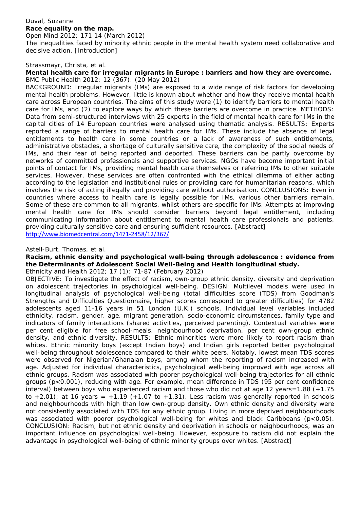# Duval, Suzanne

#### **Race equality on the map.** *Open Mind 2012; 171 14 (March 2012)*

The inequalities faced by minority ethnic people in the mental health system need collaborative and decisive action. [Introduction]

# Strassmayr, Christa, et al.

#### **Mental health care for irregular migrants in Europe : barriers and how they are overcome.** *BMC Public Health 2012; 12 (367): (20 May 2012)*

BACKGROUND: Irregular migrants (IMs) are exposed to a wide range of risk factors for developing mental health problems. However, little is known about whether and how they receive mental health care across European countries. The aims of this study were (1) to identify barriers to mental health care for IMs, and (2) to explore ways by which these barriers are overcome in practice. METHODS: Data from semi-structured interviews with 25 experts in the field of mental health care for IMs in the capital cities of 14 European countries were analysed using thematic analysis. RESULTS: Experts reported a range of barriers to mental health care for IMs. These include the absence of legal entitlements to health care in some countries or a lack of awareness of such entitlements, administrative obstacles, a shortage of culturally sensitive care, the complexity of the social needs of IMs, and their fear of being reported and deported. These barriers can be partly overcome by networks of committed professionals and supportive services. NGOs have become important initial points of contact for IMs, providing mental health care themselves or referring IMs to other suitable services. However, these services are often confronted with the ethical dilemma of either acting according to the legislation and institutional rules or providing care for humanitarian reasons, which involves the risk of acting illegally and providing care without authorisation. CONCLUSIONS: Even in countries where access to health care is legally possible for IMs, various other barriers remain. Some of these are common to all migrants, whilst others are specific for IMs. Attempts at improving mental health care for IMs should consider barriers beyond legal entitlement, including communicating information about entitlement to mental health care professionals and patients, providing culturally sensitive care and ensuring sufficient resources. [Abstract] <http://www.biomedcentral.com/1471-2458/12/367/>

# Astell-Burt, Thomas, et al.

# **Racism, ethnic density and psychological well-being through adolescence : evidence from the Determinants of Adolescent Social Well-Being and Health longitudinal study.** *Ethnicity and Health 2012; 17 (1): 71-87 (February 2012)*

OBJECTIVE: To investigate the effect of racism, own-group ethnic density, diversity and deprivation on adolescent trajectories in psychological well-being. DESIGN: Multilevel models were used in longitudinal analysis of psychological well-being (total difficulties score (TDS) from Goodman's Strengths and Difficulties Questionnaire, higher scores correspond to greater difficulties) for 4782 adolescents aged 11-16 years in 51 London (U.K.) schools. Individual level variables included ethnicity, racism, gender, age, migrant generation, socio-economic circumstances, family type and indicators of family interactions (shared activities, perceived parenting). Contextual variables were per cent eligible for free school-meals, neighbourhood deprivation, per cent own-group ethnic density, and ethnic diversity. RESULTS: Ethnic minorities were more likely to report racism than whites. Ethnic minority boys (except Indian boys) and Indian girls reported better psychological well-being throughout adolescence compared to their white peers. Notably, lowest mean TDS scores were observed for Nigerian/Ghanaian boys, among whom the reporting of racism increased with age. Adjusted for individual characteristics, psychological well-being improved with age across all ethnic groups. Racism was associated with poorer psychological well-being trajectories for all ethnic groups (p<0.001), reducing with age. For example, mean difference in TDS (95 per cent confidence interval) between boys who experienced racism and those who did not at age 12 years=1.88 (+1.75 to  $+2.01$ ; at 16 years =  $+1.19$  ( $+1.07$  to  $+1.31$ ). Less racism was generally reported in schools and neighbourhoods with high than low own-group density. Own ethnic density and diversity were not consistently associated with TDS for any ethnic group. Living in more deprived neighbourhoods was associated with poorer psychological well-being for whites and black Caribbeans (p<0.05). CONCLUSION: Racism, but not ethnic density and deprivation in schools or neighbourhoods, was an important influence on psychological well-being. However, exposure to racism did not explain the advantage in psychological well-being of ethnic minority groups over whites. [Abstract]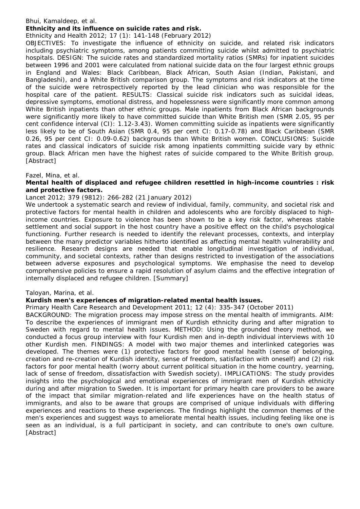# Bhui, Kamaldeep, et al.

# **Ethnicity and its influence on suicide rates and risk.**

*Ethnicity and Health 2012; 17 (1): 141-148 (February 2012)*

OBJECTIVES: To investigate the influence of ethnicity on suicide, and related risk indicators including psychiatric symptoms, among patients committing suicide whilst admitted to psychiatric hospitals. DESIGN: The suicide rates and standardized mortality ratios (SMRs) for inpatient suicides between 1996 and 2001 were calculated from national suicide data on the four largest ethnic groups in England and Wales: Black Caribbean, Black African, South Asian (Indian, Pakistani, and Bangladeshi), and a White British comparison group. The symptoms and risk indicators at the time of the suicide were retrospectively reported by the lead clinician who was responsible for the hospital care of the patient. RESULTS: Classical suicide risk indicators such as suicidal ideas, depressive symptoms, emotional distress, and hopelessness were significantly more common among White British inpatients than other ethnic groups. Male inpatients from Black African backgrounds were significantly more likely to have committed suicide than White British men (SMR 2.05, 95 per cent confidence interval (CI): 1.12-3.43). Women committing suicide as inpatients were significantly less likely to be of South Asian (SMR 0.4, 95 per cent CI: 0.17-0.78) and Black Caribbean (SMR 0.26, 95 per cent CI: 0.09-0.62) backgrounds than White British women. CONCLUSIONS: Suicide rates and classical indicators of suicide risk among inpatients committing suicide vary by ethnic group. Black African men have the highest rates of suicide compared to the White British group. [Abstract]

#### Fazel, Mina, et al.

# **Mental health of displaced and refugee children resettled in high-income countries : risk and protective factors.**

# *Lancet 2012; 379 (9812): 266-282 (21 January 2012)*

We undertook a systematic search and review of individual, family, community, and societal risk and protective factors for mental health in children and adolescents who are forcibly displaced to highincome countries. Exposure to violence has been shown to be a key risk factor, whereas stable settlement and social support in the host country have a positive effect on the child's psychological functioning. Further research is needed to identify the relevant processes, contexts, and interplay between the many predictor variables hitherto identified as affecting mental health vulnerability and resilience. Research designs are needed that enable longitudinal investigation of individual, community, and societal contexts, rather than designs restricted to investigation of the associations between adverse exposures and psychological symptoms. We emphasise the need to develop comprehensive policies to ensure a rapid resolution of asylum claims and the effective integration of internally displaced and refugee children. [Summary]

#### Taloyan, Marina, et al.

# **Kurdish men's experiences of migration-related mental health issues.**

# *Primary Health Care Research and Development 2011; 12 (4): 335-347 (October 2011)*

BACKGROUND: The migration process may impose stress on the mental health of immigrants. AIM: To describe the experiences of immigrant men of Kurdish ethnicity during and after migration to Sweden with regard to mental health issues. METHOD: Using the grounded theory method, we conducted a focus group interview with four Kurdish men and in-depth individual interviews with 10 other Kurdish men. FINDINGS: A model with two major themes and interlinked categories was developed. The themes were (1) protective factors for good mental health (sense of belonging, creation and re-creation of Kurdish identity, sense of freedom, satisfaction with oneself) and (2) risk factors for poor mental health (worry about current political situation in the home country, yearning, lack of sense of freedom, dissatisfaction with Swedish society). IMPLICATIONS: The study provides insights into the psychological and emotional experiences of immigrant men of Kurdish ethnicity during and after migration to Sweden. It is important for primary health care providers to be aware of the impact that similar migration-related and life experiences have on the health status of immigrants, and also to be aware that groups are comprised of unique individuals with differing experiences and reactions to these experiences. The findings highlight the common themes of the men's experiences and suggest ways to ameliorate mental health issues, including feeling like one is seen as an individual, is a full participant in society, and can contribute to one's own culture. [Abstract]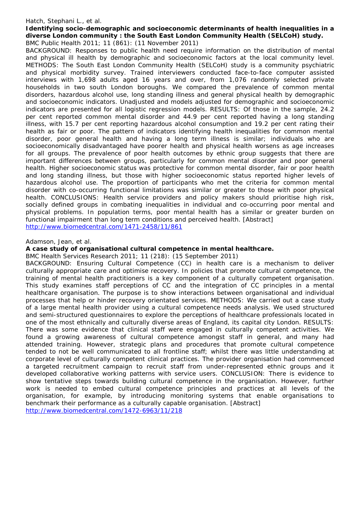#### Hatch, Stephani L., et al.

**Identifying socio-demographic and socioeconomic determinants of health inequalities in a diverse London community : the South East London Community Health (SELCoH) study.** *BMC Public Health 2011; 11 (861): (11 November 2011)*

BACKGROUND: Responses to public health need require information on the distribution of mental and physical ill health by demographic and socioeconomic factors at the local community level. METHODS: The South East London Community Health (SELCoH) study is a community psychiatric and physical morbidity survey. Trained interviewers conducted face-to-face computer assisted interviews with 1,698 adults aged 16 years and over, from 1,076 randomly selected private households in two south London boroughs. We compared the prevalence of common mental disorders, hazardous alcohol use, long standing illness and general physical health by demographic and socioeconomic indicators. Unadjusted and models adjusted for demographic and socioeconomic indicators are presented for all logistic regression models. RESULTS: Of those in the sample, 24.2 per cent reported common mental disorder and 44.9 per cent reported having a long standing illness, with 15.7 per cent reporting hazardous alcohol consumption and 19.2 per cent rating their health as fair or poor. The pattern of indicators identifying health inequalities for common mental disorder, poor general health and having a long term illness is similar; individuals who are socioeconomically disadvantaged have poorer health and physical health worsens as age increases for all groups. The prevalence of poor health outcomes by ethnic group suggests that there are important differences between groups, particularly for common mental disorder and poor general health. Higher socioeconomic status was protective for common mental disorder, fair or poor health and long standing illness, but those with higher socioeconomic status reported higher levels of hazardous alcohol use. The proportion of participants who met the criteria for common mental disorder with co-occurring functional limitations was similar or greater to those with poor physical health. CONCLUSIONS: Health service providers and policy makers should prioritise high risk, socially defined groups in combating inequalities in individual and co-occurring poor mental and physical problems. In population terms, poor mental health has a similar or greater burden on functional impairment than long term conditions and perceived health. [Abstract] <http://www.biomedcentral.com/1471-2458/11/861>

#### Adamson, Jean, et al.

# **A case study of organisational cultural competence in mental healthcare.**

*BMC Health Services Research 2011; 11 (218): (15 September 2011)*

BACKGROUND: Ensuring Cultural Competence (CC) in health care is a mechanism to deliver culturally appropriate care and optimise recovery. In policies that promote cultural competence, the training of mental health practitioners is a key component of a culturally competent organisation. This study examines staff perceptions of CC and the integration of CC principles in a mental healthcare organisation. The purpose is to show interactions between organisational and individual processes that help or hinder recovery orientated services. METHODS: We carried out a case study of a large mental health provider using a cultural competence needs analysis. We used structured and semi-structured questionnaires to explore the perceptions of healthcare professionals located in one of the most ethnically and culturally diverse areas of England, its capital city London. RESULTS: There was some evidence that clinical staff were engaged in culturally competent activities. We found a growing awareness of cultural competence amongst staff in general, and many had attended training. However, strategic plans and procedures that promote cultural competence tended to not be well communicated to all frontline staff; whilst there was little understanding at corporate level of culturally competent clinical practices. The provider organisation had commenced a targeted recruitment campaign to recruit staff from under-represented ethnic groups and it developed collaborative working patterns with service users. CONCLUSION: There is evidence to show tentative steps towards building cultural competence in the organisation. However, further work is needed to embed cultural competence principles and practices at all levels of the organisation, for example, by introducing monitoring systems that enable organisations to benchmark their performance as a culturally capable organisation. [Abstract] <http://www.biomedcentral.com/1472-6963/11/218>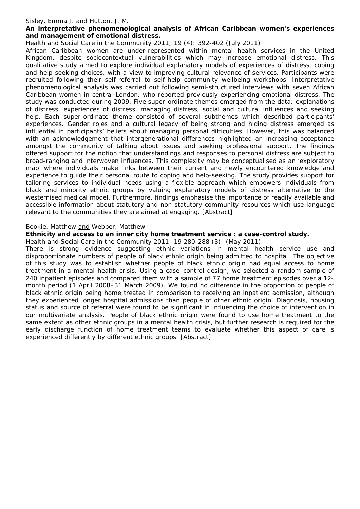## Sisley, Emma J. and Hutton, J. M.

# **An interpretative phenomenological analysis of African Caribbean women's experiences and management of emotional distress.**

*Health and Social Care in the Community 2011; 19 (4): 392-402 (July 2011)*

African Caribbean women are under-represented within mental health services in the United Kingdom, despite sociocontextual vulnerabilities which may increase emotional distress. This qualitative study aimed to explore individual explanatory models of experiences of distress, coping and help-seeking choices, with a view to improving cultural relevance of services. Participants were recruited following their self-referral to self-help community wellbeing workshops. Interpretative phenomenological analysis was carried out following semi-structured interviews with seven African Caribbean women in central London, who reported previously experiencing emotional distress. The study was conducted during 2009. Five super-ordinate themes emerged from the data: explanations of distress, experiences of distress, managing distress, social and cultural influences and seeking help. Each super-ordinate theme consisted of several subthemes which described participants' experiences. Gender roles and a cultural legacy of being strong and hiding distress emerged as influential in participants' beliefs about managing personal difficulties. However, this was balanced with an acknowledgement that intergenerational differences highlighted an increasing acceptance amongst the community of talking about issues and seeking professional support. The findings offered support for the notion that understandings and responses to personal distress are subject to broad-ranging and interwoven influences. This complexity may be conceptualised as an 'exploratory map' where individuals make links between their current and newly encountered knowledge and experience to guide their personal route to coping and help-seeking. The study provides support for tailoring services to individual needs using a flexible approach which empowers individuals from black and minority ethnic groups by valuing explanatory models of distress alternative to the westernised medical model. Furthermore, findings emphasise the importance of readily available and accessible information about statutory and non-statutory community resources which use language relevant to the communities they are aimed at engaging. [Abstract]

#### Bookie, Matthew and Webber, Matthew

**Ethnicity and access to an inner city home treatment service : a case-control study.**

*Health and Social Care in the Community 2011; 19 280-288 (3): (May 2011)*

There is strong evidence suggesting ethnic variations in mental health service use and disproportionate numbers of people of black ethnic origin being admitted to hospital. The objective of this study was to establish whether people of black ethnic origin had equal access to home treatment in a mental health crisis. Using a case–control design, we selected a random sample of 240 inpatient episodes and compared them with a sample of 77 home treatment episodes over a 12 month period (1 April 2008–31 March 2009). We found no difference in the proportion of people of black ethnic origin being home treated in comparison to receiving an inpatient admission, although they experienced longer hospital admissions than people of other ethnic origin. Diagnosis, housing status and source of referral were found to be significant in influencing the choice of intervention in our multivariate analysis. People of black ethnic origin were found to use home treatment to the same extent as other ethnic groups in a mental health crisis, but further research is required for the early discharge function of home treatment teams to evaluate whether this aspect of care is experienced differently by different ethnic groups. [Abstract]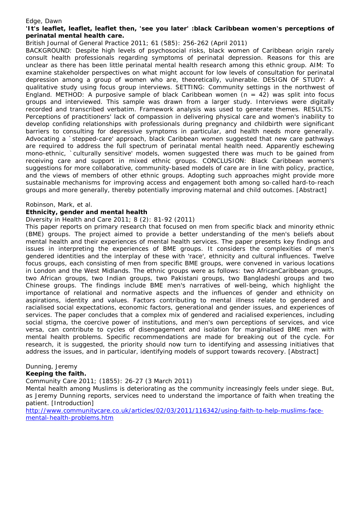# Edge, Dawn

# **'It's leaflet, leaflet, leaflet then, 'see you later' :black Caribbean women's perceptions of perinatal mental health care.**

*British Journal of General Practice 2011; 61 (585): 256-262 (April 2011)*

BACKGROUND: Despite high levels of psychosocial risks, black women of Caribbean origin rarely consult health professionals regarding symptoms of perinatal depression. Reasons for this are unclear as there has been little perinatal mental health research among this ethnic group. AIM: To examine stakeholder perspectives on what might account for low levels of consultation for perinatal depression among a group of women who are, theoretically, vulnerable. DESIGN OF STUDY: A qualitative study using focus group interviews. SETTING: Community settings in the northwest of England. METHOD: A purposive sample of black Caribbean women  $(n = 42)$  was split into focus groups and interviewed. This sample was drawn from a larger study. Interviews were digitally recorded and transcribed verbatim. Framework analysis was used to generate themes. RESULTS: Perceptions of practitioners' lack of compassion in delivering physical care and women's inability to develop confiding relationships with professionals during pregnancy and childbirth were significant barriers to consulting for depressive symptoms in particular, and health needs more generally. Advocating a `stepped-care' approach, black Caribbean women suggested that new care pathways are required to address the full spectrum of perinatal mental health need. Apparently eschewing mono-ethnic, `culturally sensitive' models, women suggested there was much to be gained from receiving care and support in mixed ethnic groups. CONCLUSION: Black Caribbean women's suggestions for more collaborative, community-based models of care are in line with policy, practice, and the views of members of other ethnic groups. Adopting such approaches might provide more sustainable mechanisms for improving access and engagement both among so-called hard-to-reach groups and more generally, thereby potentially improving maternal and child outcomes. [Abstract]

# Robinson, Mark, et al.

# **Ethnicity, gender and mental health**

# *Diversity in Health and Care 2011; 8 (2): 81-92 (2011)*

This paper reports on primary research that focused on men from specific black and minority ethnic (BME) groups. The project aimed to provide a better understanding of the men's beliefs about mental health and their experiences of mental health services. The paper presents key findings and issues in interpreting the experiences of BME groups. It considers the complexities of men's gendered identities and the interplay of these with 'race', ethnicity and cultural influences. Twelve focus groups, each consisting of men from specific BME groups, were convened in various locations in London and the West Midlands. The ethnic groups were as follows: two AfricanCaribbean groups, two African groups, two Indian groups, two Pakistani groups, two Bangladeshi groups and two Chinese groups. The findings include BME men's narratives of well-being, which highlight the importance of relational and normative aspects and the influences of gender and ethnicity on aspirations, identity and values. Factors contributing to mental illness relate to gendered and racialised social expectations, economic factors, generational and gender issues, and experiences of services. The paper concludes that a complex mix of gendered and racialised experiences, including social stigma, the coercive power of institutions, and men's own perceptions of services, and vice versa, can contribute to cycles of disengagement and isolation for marginalised BME men with mental health problems. Specific recommendations are made for breaking out of the cycle. For research, it is suggested, the priority should now turn to identifying and assessing initiatives that address the issues, and in particular, identifying models of support towards recovery. [Abstract]

# Dunning, Jeremy

# **Keeping the faith.**

*Community Care 2011; (1855): 26-27 (3 March 2011)*

Mental health among Muslims is deteriorating as the community increasingly feels under siege. But, as Jeremy Dunning reports, services need to understand the importance of faith when treating the patient. [Introduction]

[http://www.communitycare.co.uk/articles/02/03/2011/116342/using-faith-to-help-muslims-face](http://www.communitycare.co.uk/articles/02/03/2011/116342/using-faith-to-help-muslims-face-mental-health-problems.htm)[mental-health-problems.htm](http://www.communitycare.co.uk/articles/02/03/2011/116342/using-faith-to-help-muslims-face-mental-health-problems.htm)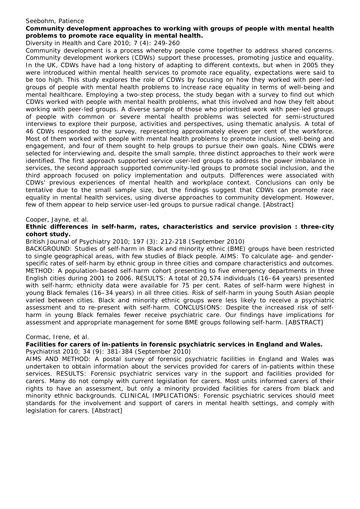#### Seebohm, Patience

# **Community development approaches to working with groups of people with mental health problems to promote race equality in mental health.**

*Diversity in Health and Care 2010; 7 (4): 249-260* 

Community development is a process whereby people come together to address shared concerns. Community development workers (CDWs) support these processes, promoting justice and equality. In the UK, CDWs have had a long history of adapting to different contexts, but when in 2005 they were introduced within mental health services to promote race equality, expectations were said to be too high. This study explores the role of CDWs by focusing on how they worked with peer-led groups of people with mental health problems to increase race equality in terms of well-being and mental healthcare. Employing a two-step process, the study began with a survey to find out which CDWs worked with people with mental health problems, what this involved and how they felt about working with peer-led groups. A diverse sample of those who prioritised work with peer-led groups of people with common or severe mental health problems was selected for semi-structured interviews to explore their purpose, activities and perspectives, using thematic analysis. A total of 46 CDWs responded to the survey, representing approximately eleven per cent of the workforce. Most of them worked with people with mental health problems to promote inclusion, well-being and engagement, and four of them sought to help groups to pursue their own goals. Nine CDWs were selected for interviewing and, despite the small sample, three distinct approaches to their work were identified. The first approach supported service user-led groups to address the power imbalance in services, the second approach supported community-led groups to promote social inclusion, and the third approach focused on policy implementation and outputs. Differences were associated with CDWs' previous experiences of mental health and workplace context. Conclusions can only be tentative due to the small sample size, but the findings suggest that CDWs can promote race equality in mental health services, using diverse approaches to community development. However, few of them appear to help service user-led groups to pursue radical change. [Abstract]

#### Cooper, Jayne, et al.

#### **Ethnic differences in self-harm, rates, characteristics and service provision : three-city cohort study.**

#### *British Journal of Psychiatry 2010; 197 (3): 212-218 (September 2010)*

BACKGROUND: Studies of self-harm in Black and minority ethnic (BME) groups have been restricted to single geographical areas, with few studies of Black people. AIMS: To calculate age- and genderspecific rates of self-harm by ethnic group in three cities and compare characteristics and outcomes. METHOD: A population-based self-harm cohort presenting to five emergency departments in three English cities during 2001 to 2006. RESULTS: A total of 20,574 individuals (16–64 years) presented with self-harm; ethnicity data were available for 75 per cent. Rates of self-harm were highest in young Black females (16–34 years) in all three cities. Risk of self-harm in young South Asian people varied between cities. Black and minority ethnic groups were less likely to receive a psychiatric assessment and to re-present with self-harm. CONCLUSIONS: Despite the increased risk of selfharm in young Black females fewer receive psychiatric care. Our findings have implications for assessment and appropriate management for some BME groups following self-harm. [ABSTRACT]

#### Cormac, Irene, et al.

#### **Facilities for carers of in-patients in forensic psychiatric services in England and Wales.** *Psychiatrist 2010; 34 (9): 381-384 (September 2010)*

AIMS AND METHOD: A postal survey of forensic psychiatric facilities in England and Wales was undertaken to obtain information about the services provided for carers of in-patients within these services. RESULTS: Forensic psychiatric services vary in the support and facilities provided for carers. Many do not comply with current legislation for carers. Most units informed carers of their rights to have an assessment, but only a minority provided facilities for carers from black and minority ethnic backgrounds. CLINICAL IMPLICATIONS: Forensic psychiatric services should meet standards for the involvement and support of carers in mental health settings, and comply with legislation for carers. [Abstract]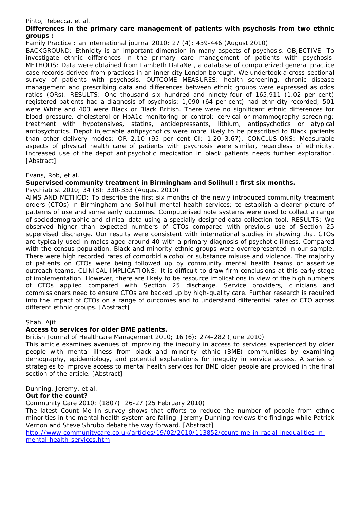#### Pinto, Rebecca, et al.

# **Differences in the primary care management of patients with psychosis from two ethnic groups :**

# *Family Practice : an international journal 2010; 27 (4): 439-446 (August 2010)*

BACKGROUND: Ethnicity is an important dimension in many aspects of psychosis. OBJECTIVE: To investigate ethnic differences in the primary care management of patients with psychosis. METHODS: Data were obtained from Lambeth DataNet, a database of computerized general practice case records derived from practices in an inner city London borough. We undertook a cross-sectional survey of patients with psychosis. OUTCOME MEASURES: health screening, chronic disease management and prescribing data and differences between ethnic groups were expressed as odds ratios (ORs). RESULTS: One thousand six hundred and ninety-four of 165,911 (1.02 per cent) registered patients had a diagnosis of psychosis; 1,090 (64 per cent) had ethnicity recorded; 501 were White and 403 were Black or Black British. There were no significant ethnic differences for blood pressure, cholesterol or HbA1c monitoring or control; cervical or mammography screening; treatment with hypotensives, statins, antidepressants, lithium, antipsychotics or atypical antipsychotics. Depot injectable antipsychotics were more likely to be prescribed to Black patients than other delivery modes: OR 2.10 (95 per cent CI: 1.20–3.67). CONCLUSIONS: Measurable aspects of physical health care of patients with psychosis were similar, regardless of ethnicity. Increased use of the depot antipsychotic medication in black patients needs further exploration. [Abstract]

# Evans, Rob, et al.

# **Supervised community treatment in Birmingham and Solihull : first six months.**

*Psychiatrist 2010; 34 (8): 330-333 (August 2010)*

AIMS AND METHOD: To describe the first six months of the newly introduced community treatment orders (CTOs) in Birmingham and Solihull mental health services; to establish a clearer picture of patterns of use and some early outcomes. Computerised note systems were used to collect a range of sociodemographic and clinical data using a specially designed data collection tool. RESULTS: We observed higher than expected numbers of CTOs compared with previous use of Section 25 supervised discharge. Our results were consistent with international studies in showing that CTOs are typically used in males aged around 40 with a primary diagnosis of psychotic illness. Compared with the census population, Black and minority ethnic groups were overrepresented in our sample. There were high recorded rates of comorbid alcohol or substance misuse and violence. The majority of patients on CTOs were being followed up by community mental health teams or assertive outreach teams. CLINICAL IMPLICATIONS: It is difficult to draw firm conclusions at this early stage of implementation. However, there are likely to be resource implications in view of the high numbers of CTOs applied compared with Section 25 discharge. Service providers, clinicians and commissioners need to ensure CTOs are backed up by high-quality care. Further research is required into the impact of CTOs on a range of outcomes and to understand differential rates of CTO across different ethnic groups. [Abstract]

# Shah, Ajit

# **Access to services for older BME patients.**

*British Journal of Healthcare Management 2010; 16 (6): 274-282 (June 2010)*

This article examines avenues of improving the inequity in access to services experienced by older people with mental illness from black and minority ethnic (BME) communities by examining demography, epidemiology, and potential explanations for inequity in service access. A series of strategies to improve access to mental health services for BME older people are provided in the final section of the article. [Abstract]

Dunning, Jeremy, et al.

# **Out for the count?**

# *Community Care 2010; (1807): 26-27 (25 February 2010)*

The latest Count Me In survey shows that efforts to reduce the number of people from ethnic minorities in the mental health system are falling. Jeremy Dunning reviews the findings while Patrick Vernon and Steve Shrubb debate the way forward. [Abstract]

[http://www.communitycare.co.uk/articles/19/02/2010/113852/count-me-in-racial-inequalities-in](http://www.communitycare.co.uk/articles/19/02/2010/113852/count-me-in-racial-inequalities-in-mental-health-services.htm)[mental-health-services.htm](http://www.communitycare.co.uk/articles/19/02/2010/113852/count-me-in-racial-inequalities-in-mental-health-services.htm)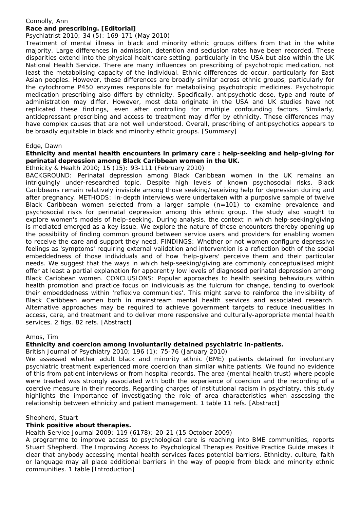# Connolly, Ann

# **Race and prescribing. [Editorial]**

*Psychiatrist 2010; 34 (5): 169-171 (May 2010)*

Treatment of mental illness in black and minority ethnic groups differs from that in the white majority. Large differences in admission, detention and seclusion rates have been recorded. These disparities extend into the physical healthcare setting, particularly in the USA but also within the UK National Health Service. There are many influences on prescribing of psychotropic medication, not least the metabolising capacity of the individual. Ethnic differences do occur, particularly for East Asian peoples. However, these differences are broadly similar across ethnic groups, particularly for the cytochrome P450 enzymes responsible for metabolising psychotropic medicines. Psychotropic medication prescribing also differs by ethnicity. Specifically, antipsychotic dose, type and route of administration may differ. However, most data originate in the USA and UK studies have not replicated these findings, even after controlling for multiple confounding factors. Similarly, antidepressant prescribing and access to treatment may differ by ethnicity. These differences may have complex causes that are not well understood. Overall, prescribing of antipsychotics appears to be broadly equitable in black and minority ethnic groups. [Summary]

# Edge, Dawn

# **Ethnicity and mental health encounters in primary care : help-seeking and help-giving for perinatal depression among Black Caribbean women in the UK.**

*Ethnicity & Health 2010; 15 (15): 93-111 (February 2010)*

BACKGROUND: Perinatal depression among Black Caribbean women in the UK remains an intriguingly under-researched topic. Despite high levels of known psychosocial risks, Black Caribbeans remain relatively invisible among those seeking/receiving help for depression during and after pregnancy. METHODS: In-depth interviews were undertaken with a purposive sample of twelve Black Caribbean women selected from a larger sample (n=101) to examine prevalence and psychosocial risks for perinatal depression among this ethnic group. The study also sought to explore women's models of help-seeking. During analysis, the context in which help-seeking/giving is mediated emerged as a key issue. We explore the nature of these encounters thereby opening up the possibility of finding common ground between service users and providers for enabling women to receive the care and support they need. FINDINGS: Whether or not women configure depressive feelings as 'symptoms' requiring external validation and intervention is a reflection both of the social embeddedness of those individuals and of how 'help-givers' perceive them and their particular needs. We suggest that the ways in which help-seeking/giving are commonly conceptualised might offer at least a partial explanation for apparently low levels of diagnosed perinatal depression among Black Caribbean women. CONCLUSIONS: Popular approaches to health seeking behaviours within health promotion and practice focus on individuals as the fulcrum for change, tending to overlook their embeddedness within 'reflexive communities'. This might serve to reinforce the invisibility of Black Caribbean women both in mainstream mental health services and associated research. Alternative approaches may be required to achieve government targets to reduce inequalities in access, care, and treatment and to deliver more responsive and culturally-appropriate mental health services. 2 figs. 82 refs. [Abstract]

# Amos, Tim

# **Ethnicity and coercion among involuntarily detained psychiatric in-patients.**

*British Journal of Psychiatry 2010; 196 (1): 75-76 (January 2010)*

We assessed whether adult black and minority ethnic (BME) patients detained for involuntary psychiatric treatment experienced more coercion than similar white patients. We found no evidence of this from patient interviews or from hospital records. The area (mental health trust) where people were treated was strongly associated with both the experience of coercion and the recording of a coercive measure in their records. Regarding charges of institutional racism in psychiatry, this study highlights the importance of investigating the role of area characteristics when assessing the relationship between ethnicity and patient management. 1 table 11 refs. [Abstract]

#### Shepherd, Stuart

# **Think positive about therapies.**

# *Health Service Journal 2009; 119 (6178): 20-21 (15 October 2009)*

A programme to improve access to psychological care is reaching into BME communities, reports Stuart Shepherd. The Improving Access to Psychological Therapies Positive Practice Guide makes it clear that anybody accessing mental health services faces potential barriers. Ethnicity, culture, faith or language may all place additional barriers in the way of people from black and minority ethnic communities. 1 table [Introduction]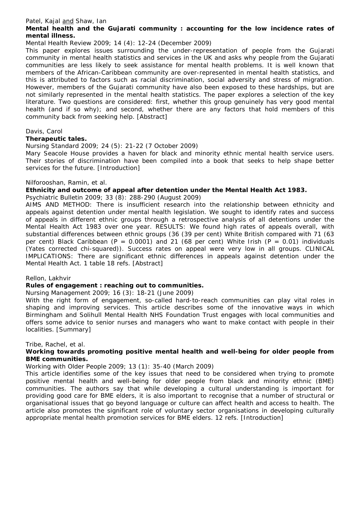# Patel, Kajal and Shaw, Ian

# **Mental health and the Gujarati community : accounting for the low incidence rates of mental illness.**

# *Mental Health Review 2009; 14 (4): 12-24 (December 2009)*

This paper explores issues surrounding the under-representation of people from the Gujarati community in mental health statistics and services in the UK and asks why people from the Gujarati communities are less likely to seek assistance for mental health problems. It is well known that members of the African-Caribbean community are over-represented in mental health statistics, and this is attributed to factors such as racial discrimination, social adversity and stress of migration. However, members of the Gujarati community have also been exposed to these hardships, but are not similarly represented in the mental health statistics. The paper explores a selection of the key literature. Two questions are considered: first, whether this group genuinely has very good mental health (and if so why); and second, whether there are any factors that hold members of this community back from seeking help. [Abstract]

# Davis, Carol

# **Therapeutic tales.**

# *Nursing Standard 2009; 24 (5): 21-22 (7 October 2009)*

Mary Seacole House provides a haven for black and minority ethnic mental health service users. Their stories of discrimination have been compiled into a book that seeks to help shape better services for the future. [Introduction]

# Nilforooshan, Ramin, et al.

# **Ethnicity and outcome of appeal after detention under the Mental Health Act 1983.**

#### *Psychiatric Bulletin 2009; 33 (8): 288-290 (August 2009)*

AIMS AND METHOD: There is insufficient research into the relationship between ethnicity and appeals against detention under mental health legislation. We sought to identify rates and success of appeals in different ethnic groups through a retrospective analysis of all detentions under the Mental Health Act 1983 over one year. RESULTS: We found high rates of appeals overall, with substantial differences between ethnic groups (36 (39 per cent) White British compared with 71 (63 per cent) Black Caribbean (P = 0.0001) and 21 (68 per cent) White Irish (P = 0.01) individuals (Yates corrected chi-squared)). Success rates on appeal were very low in all groups. CLINICAL IMPLICATIONS: There are significant ethnic differences in appeals against detention under the Mental Health Act. 1 table 18 refs. [Abstract]

# Rellon, Lakhvir

# **Rules of engagement : reaching out to communities.**

#### *Nursing Management 2009; 16 (3): 18-21 (June 2009)*

With the right form of engagement, so-called hard-to-reach communities can play vital roles in shaping and improving services. This article describes some of the innovative ways in which Birmingham and Solihull Mental Health NHS Foundation Trust engages with local communities and offers some advice to senior nurses and managers who want to make contact with people in their localities. [Summary]

# Tribe, Rachel, et al.

# **Working towards promoting positive mental health and well-being for older people from BME communities.**

#### *Working with Older People 2009; 13 (1): 35-40 (March 2009)*

This article identifies some of the key issues that need to be considered when trying to promote positive mental health and well-being for older people from black and minority ethnic (BME) communities. The authors say that while developing a cultural understanding is important for providing good care for BME elders, it is also important to recognise that a number of structural or organisational issues that go beyond language or culture can affect health and access to health. The article also promotes the significant role of voluntary sector organisations in developing culturally appropriate mental health promotion services for BME elders. 12 refs. [Introduction]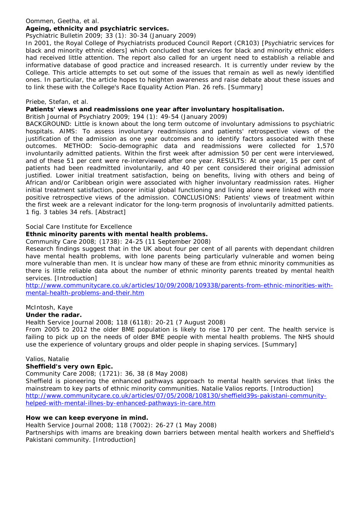# Oommen, Geetha, et al.

# **Ageing, ethnicity and psychiatric services.**

# *Psychiatric Bulletin 2009; 33 (1): 30-34 (January 2009)*

In 2001, the Royal College of Psychiatrists produced Council Report (CR103) [Psychiatric services for black and minority ethnic elders] which concluded that services for black and minority ethnic elders had received little attention. The report also called for an urgent need to establish a reliable and informative database of good practice and increased research. It is currently under review by the College. This article attempts to set out some of the issues that remain as well as newly identified ones. In particular, the article hopes to heighten awareness and raise debate about these issues and to link these with the College's Race Equality Action Plan. 26 refs. [Summary]

# Priebe, Stefan, et al.

# **Patients' views and readmissions one year after involuntary hospitalisation.**

*British Journal of Psychiatry 2009; 194 (1): 49-54 (January 2009)* 

BACKGROUND: Little is known about the long term outcome of involuntary admissions to psychiatric hospitals. AIMS: To assess involuntary readmissions and patients' retrospective views of the justification of the admission as one year outcomes and to identify factors associated with these outcomes. METHOD: Socio-demographic data and readmissions were collected for 1,570 involuntarily admitted patients. Within the first week after admission 50 per cent were interviewed, and of these 51 per cent were re-interviewed after one year. RESULTS: At one year, 15 per cent of patients had been readmitted involuntarily, and 40 per cent considered their original admission justified. Lower initial treatment satisfaction, being on benefits, living with others and being of African and/or Caribbean origin were associated with higher involuntary readmission rates. Higher initial treatment satisfaction, poorer initial global functioning and living alone were linked with more positive retrospective views of the admission. CONCLUSIONS: Patients' views of treatment within the first week are a relevant indicator for the long-term prognosis of involuntarily admitted patients. 1 fig. 3 tables 34 refs. [Abstract]

# Social Care Institute for Excellence

# **Ethnic minority parents with mental health problems.**

*Community Care 2008; (1738): 24-25 (11 September 2008)*

Research findings suggest that in the UK about four per cent of all parents with dependant children have mental health problems, with lone parents being particularly vulnerable and women being more vulnerable than men. It is unclear how many of these are from ethnic minority communities as there is little reliable data about the number of ethnic minority parents treated by mental health services. [Introduction]

[http://www.communitycare.co.uk/articles/10/09/2008/109338/parents-from-ethnic-minorities-with](http://www.communitycare.co.uk/articles/10/09/2008/109338/parents-from-ethnic-minorities-with-mental-health-problems-and-their.htm)[mental-health-problems-and-their.htm](http://www.communitycare.co.uk/articles/10/09/2008/109338/parents-from-ethnic-minorities-with-mental-health-problems-and-their.htm)

# McIntosh, Kaye

#### **Under the radar.**

#### *Health Service Journal 2008; 118 (6118): 20-21 (7 August 2008)*

From 2005 to 2012 the older BME population is likely to rise 170 per cent. The health service is failing to pick up on the needs of older BME people with mental health problems. The NHS should use the experience of voluntary groups and older people in shaping services. [Summary]

#### Valios, Natalie

# **Sheffield's very own Epic.**

*Community Care 2008; (1721): 36, 38 (8 May 2008)*

Sheffield is pioneering the enhanced pathways approach to mental health services that links the mainstream to key parts of ethnic minority communities. Natalie Valios reports. [Introduction] [http://www.communitycare.co.uk/articles/07/05/2008/108130/sheffield39s-pakistani-community](http://www.communitycare.co.uk/articles/07/05/2008/108130/sheffield39s-pakistani-community-helped-with-mental-illnes-by-enhanced-pathways-in-care.htm)[helped-with-mental-illnes-by-enhanced-pathways-in-care.htm](http://www.communitycare.co.uk/articles/07/05/2008/108130/sheffield39s-pakistani-community-helped-with-mental-illnes-by-enhanced-pathways-in-care.htm)

# **How we can keep everyone in mind.**

*Health Service Journal 2008; 118 (7002): 26-27 (1 May 2008)*

Partnerships with imams are breaking down barriers between mental health workers and Sheffield's Pakistani community. [Introduction]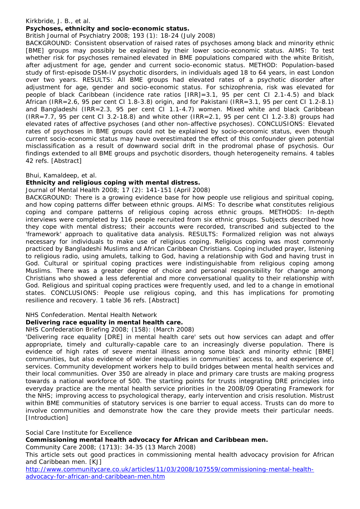# Kirkbride, J. B., et al.

# **Psychoses, ethnicity and socio-economic status.**

*British Journal of Psychiatry 2008; 193 (1): 18-24 (July 2008)*

BACKGROUND: Consistent observation of raised rates of psychoses among black and minority ethnic [BME] groups may possibly be explained by their lower socio-economic status. AIMS: To test whether risk for psychoses remained elevated in BME populations compared with the white British, after adjustment for age, gender and current socio-economic status. METHOD: Population-based study of first-episode DSM-IV psychotic disorders, in individuals aged 18 to 64 years, in east London over two years. RESULTS: All BME groups had elevated rates of a psychotic disorder after adjustment for age, gender and socio-economic status. For schizophrenia, risk was elevated for people of black Caribbean (incidence rate ratios [IRR]=3.1, 95 per cent CI 2.1-4.5) and black African (IRR=2.6, 95 per cent CI 1.8-3.8) origin, and for Pakistani (IRR=3.1, 95 per cent CI 1.2-8.1) and Bangladeshi (IRR=2.3, 95 per cent CI 1.1-4.7) women. Mixed white and black Caribbean (IRR=7.7, 95 per cent CI 3.2-18.8) and white other (IRR=2.1, 95 per cent CI 1.2-3.8) groups had elevated rates of affective psychoses (and other non-affective psychoses). CONCLUSIONS: Elevated rates of psychoses in BME groups could not be explained by socio-economic status, even though current socio-economic status may have overestimated the effect of this confounder given potential misclassification as a result of downward social drift in the prodromal phase of psychosis. Our findings extended to all BME groups and psychotic disorders, though heterogeneity remains. 4 tables 42 refs. [Abstract]

# Bhui, Kamaldeep, et al.

# **Ethnicity and religious coping with mental distress.**

*Journal of Mental Health 2008; 17 (2): 141-151 (April 2008)*

BACKGROUND: There is a growing evidence base for how people use religious and spiritual coping, and how coping patterns differ between ethnic groups. AIMS: To describe what constitutes religious coping and compare patterns of religious coping across ethnic groups. METHODS: In-depth interviews were completed by 116 people recruited from six ethnic groups. Subjects described how they cope with mental distress; their accounts were recorded, transcribed and subjected to the 'framework' approach to qualitative data analysis. RESULTS: Formalized religion was not always necessary for individuals to make use of religious coping. Religious coping was most commonly practiced by Bangladeshi Muslims and African Caribbean Christians. Coping included prayer, listening to religious radio, using amulets, talking to God, having a relationship with God and having trust in God. Cultural or spiritual coping practices were indistinguishable from religious coping among Muslims. There was a greater degree of choice and personal responsibility for change among Christians who showed a less deferential and more conversational quality to their relationship with God. Religious and spiritual coping practices were frequently used, and led to a change in emotional states. CONCLUSIONS: People use religious coping, and this has implications for promoting resilience and recovery. 1 table 36 refs. [Abstract]

#### NHS Confederation. Mental Health Network

# **Delivering race equality in mental health care.**

*NHS Confederation Briefing 2008; (158): (March 2008)*

'Delivering race equality [DRE] in mental health care' sets out how services can adapt and offer appropriate, timely and culturally-capable care to an increasingly diverse population. There is evidence of high rates of severe mental illness among some black and minority ethnic [BME] communities, but also evidence of wider inequalities in communities' access to, and experience of, services. Community development workers help to build bridges between mental health services and their local communities. Over 350 are already in place and primary care trusts are making progress towards a national workforce of 500. The starting points for trusts integrating DRE principles into everyday practice are the mental health service priorities in the 2008/09 Operating Framework for the NHS; improving access to psychological therapy, early intervention and crisis resolution. Mistrust within BME communities of statutory services is one barrier to equal access. Trusts can do more to involve communities and demonstrate how the care they provide meets their particular needs. [Introduction]

Social Care Institute for Excellence

**Commissioning mental health advocacy for African and Caribbean men.** 

*Community Care 2008; (1713): 34-35 (13 March 2008)* 

This article sets out good practices in commissioning mental health advocacy provision for African and Caribbean men. [KJ]

[http://www.communitycare.co.uk/articles/11/03/2008/107559/commissioning-mental-health](http://www.communitycare.co.uk/articles/11/03/2008/107559/commissioning-mental-health-advocacy-for-african-and-caribbean-men.htm)[advocacy-for-african-and-caribbean-men.htm](http://www.communitycare.co.uk/articles/11/03/2008/107559/commissioning-mental-health-advocacy-for-african-and-caribbean-men.htm)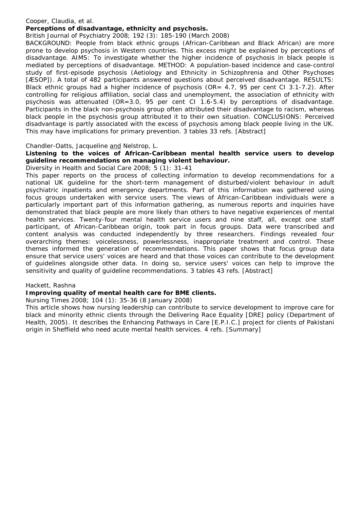#### Cooper, Claudia, et al.

# **Perceptions of disadvantage, ethnicity and psychosis.**

*British Journal of Psychiatry 2008; 192 (3): 185-190 (March 2008)* 

BACKGROUND: People from black ethnic groups (African-Caribbean and Black African) are more prone to develop psychosis in Western countries. This excess might be explained by perceptions of disadvantage. AIMS: To investigate whether the higher incidence of psychosis in black people is mediated by perceptions of disadvantage. METHOD: A population-based incidence and case-control study of first-episode psychosis (Aetiology and Ethnicity in Schizophrenia and Other Psychoses [ÆSOP]). A total of 482 participants answered questions about perceived disadvantage. RESULTS: Black ethnic groups had a higher incidence of psychosis (OR= 4.7, 95 per cent CI 3.1-7.2). After controlling for religious affiliation, social class and unemployment, the association of ethnicity with psychosis was attenuated (OR=3.0, 95 per cent CI 1.6-5.4) by perceptions of disadvantage. Participants in the black non-psychosis group often attributed their disadvantage to racism, whereas black people in the psychosis group attributed it to their own situation. CONCLUSIONS: Perceived disadvantage is partly associated with the excess of psychosis among black people living in the UK. This may have implications for primary prevention. 3 tables 33 refs. [Abstract]

#### Chandler-Oatts, Jacqueline and Nelstrop, L.

# **Listening to the voices of African-Caribbean mental health service users to develop guideline recommendations on managing violent behaviour.**

*Diversity in Health and Social Care 2008; 5 (1): 31-41*

This paper reports on the process of collecting information to develop recommendations for a national UK guideline for the short-term management of disturbed/violent behaviour in adult psychiatric inpatients and emergency departments. Part of this information was gathered using focus groups undertaken with service users. The views of African-Caribbean individuals were a particularly important part of this information gathering, as numerous reports and inquiries have demonstrated that black people are more likely than others to have negative experiences of mental health services. Twenty-four mental health service users and nine staff, all, except one staff participant, of African-Caribbean origin, took part in focus groups. Data were transcribed and content analysis was conducted independently by three researchers. Findings revealed four overarching themes: voicelessness, powerlessness, inappropriate treatment and control. These themes informed the generation of recommendations. This paper shows that focus group data ensure that service users' voices are heard and that those voices can contribute to the development of guidelines alongside other data. In doing so, service users' voices can help to improve the sensitivity and quality of guideline recommendations. 3 tables 43 refs. [Abstract]

# Hackett, Rashna

# **Improving quality of mental health care for BME clients.**

# *Nursing Times 2008; 104 (1): 35-36 (8 January 2008)*

This article shows how nursing leadership can contribute to service development to improve care for black and minority ethnic clients through the Delivering Race Equality [DRE] policy (Department of Health, 2005). It describes the Enhancing Pathways in Care [E.P.I.C.] project for clients of Pakistani origin in Sheffield who need acute mental health services. 4 refs. [Summary]